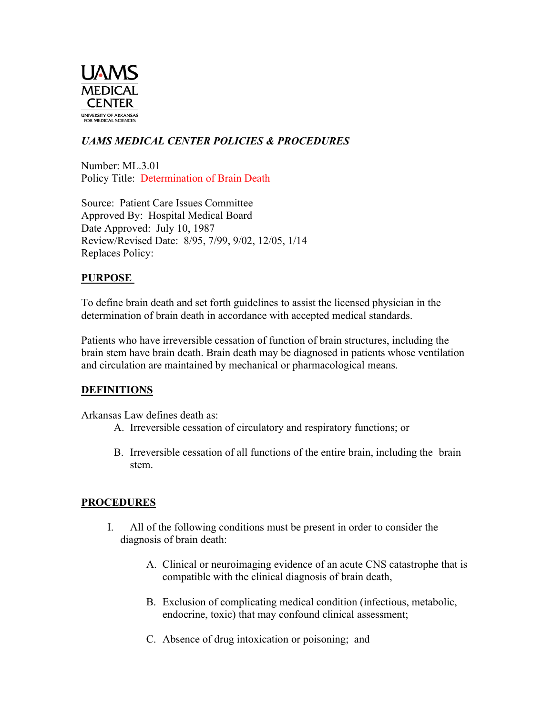

# *UAMS MEDICAL CENTER POLICIES & PROCEDURES*

Number: ML.3.01 Policy Title: Determination of Brain Death

Source: Patient Care Issues Committee Approved By: Hospital Medical Board Date Approved: July 10, 1987 Review/Revised Date: 8/95, 7/99, 9/02, 12/05, 1/14 Replaces Policy:

## **PURPOSE**

To define brain death and set forth guidelines to assist the licensed physician in the determination of brain death in accordance with accepted medical standards.

Patients who have irreversible cessation of function of brain structures, including the brain stem have brain death. Brain death may be diagnosed in patients whose ventilation and circulation are maintained by mechanical or pharmacological means.

## **DEFINITIONS**

Arkansas Law defines death as:

- A. Irreversible cessation of circulatory and respiratory functions; or
- B. Irreversible cessation of all functions of the entire brain, including the brain stem.

## **PROCEDURES**

- I. All of the following conditions must be present in order to consider the diagnosis of brain death:
	- A. Clinical or neuroimaging evidence of an acute CNS catastrophe that is compatible with the clinical diagnosis of brain death,
	- B. Exclusion of complicating medical condition (infectious, metabolic, endocrine, toxic) that may confound clinical assessment;
	- C. Absence of drug intoxication or poisoning; and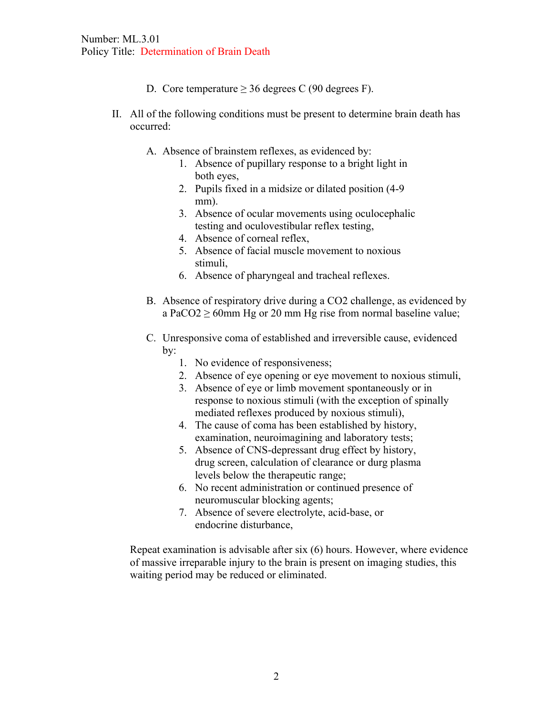- D. Core temperature  $\geq$  36 degrees C (90 degrees F).
- II. All of the following conditions must be present to determine brain death has occurred:
	- A. Absence of brainstem reflexes, as evidenced by:
		- 1. Absence of pupillary response to a bright light in both eyes,
		- 2. Pupils fixed in a midsize or dilated position (4-9 mm).
		- 3. Absence of ocular movements using oculocephalic testing and oculovestibular reflex testing,
		- 4. Absence of corneal reflex,
		- 5. Absence of facial muscle movement to noxious stimuli,
		- 6. Absence of pharyngeal and tracheal reflexes.
	- B. Absence of respiratory drive during a CO2 challenge, as evidenced by a PaCO2  $\geq$  60mm Hg or 20 mm Hg rise from normal baseline value;
	- C. Unresponsive coma of established and irreversible cause, evidenced by:
		- 1. No evidence of responsiveness;
		- 2. Absence of eye opening or eye movement to noxious stimuli,
		- 3. Absence of eye or limb movement spontaneously or in response to noxious stimuli (with the exception of spinally mediated reflexes produced by noxious stimuli),
		- 4. The cause of coma has been established by history, examination, neuroimagining and laboratory tests;
		- 5. Absence of CNS-depressant drug effect by history, drug screen, calculation of clearance or durg plasma levels below the therapeutic range;
		- 6. No recent administration or continued presence of neuromuscular blocking agents;
		- 7. Absence of severe electrolyte, acid-base, or endocrine disturbance,

Repeat examination is advisable after six (6) hours. However, where evidence of massive irreparable injury to the brain is present on imaging studies, this waiting period may be reduced or eliminated.